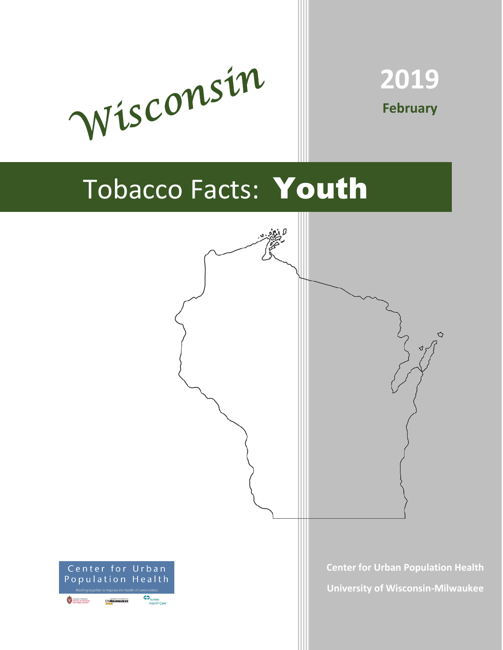



# Tobacco Facts: Youth

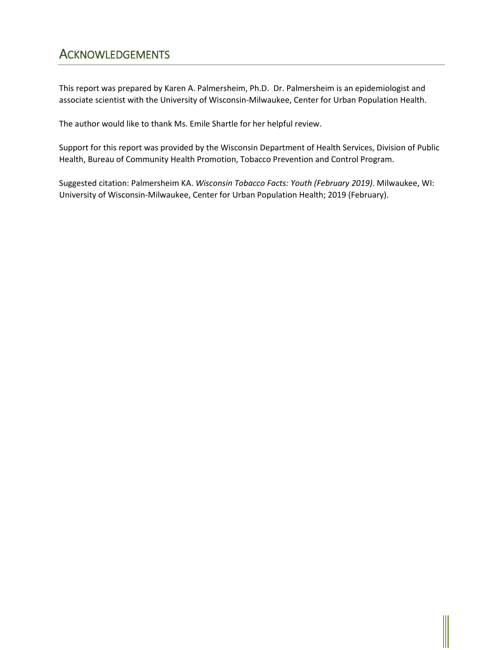# **ACKNOWLEDGEMENTS**

This report was prepared by Karen A. Palmersheim, Ph.D. Dr. Palmersheim is an epidemiologist and associate scientist with the University of Wisconsin-Milwaukee, Center for Urban Population Health.

The author would like to thank Ms. Emile Shartle for her helpful review.

Support for this report was provided by the Wisconsin Department of Health Services, Division of Public Health, Bureau of Community Health Promotion, Tobacco Prevention and Control Program.

Suggested citation: Palmersheim KA. *Wisconsin Tobacco Facts: Youth (February 2019)*. Milwaukee, WI: University of Wisconsin-Milwaukee, Center for Urban Population Health; 2019 (February).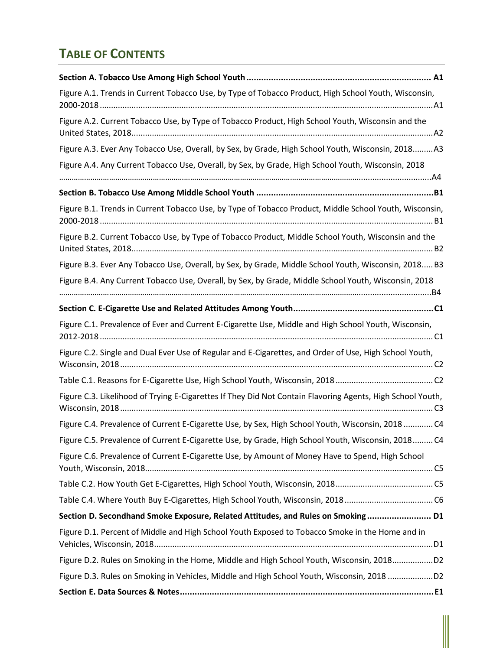## **TABLE OF CONTENTS**

| Figure A.1. Trends in Current Tobacco Use, by Type of Tobacco Product, High School Youth, Wisconsin,       |
|------------------------------------------------------------------------------------------------------------|
| Figure A.2. Current Tobacco Use, by Type of Tobacco Product, High School Youth, Wisconsin and the          |
| Figure A.3. Ever Any Tobacco Use, Overall, by Sex, by Grade, High School Youth, Wisconsin, 2018A3          |
| Figure A.4. Any Current Tobacco Use, Overall, by Sex, by Grade, High School Youth, Wisconsin, 2018         |
|                                                                                                            |
| Figure B.1. Trends in Current Tobacco Use, by Type of Tobacco Product, Middle School Youth, Wisconsin,     |
| Figure B.2. Current Tobacco Use, by Type of Tobacco Product, Middle School Youth, Wisconsin and the        |
| Figure B.3. Ever Any Tobacco Use, Overall, by Sex, by Grade, Middle School Youth, Wisconsin, 2018 B3       |
| Figure B.4. Any Current Tobacco Use, Overall, by Sex, by Grade, Middle School Youth, Wisconsin, 2018       |
|                                                                                                            |
| Figure C.1. Prevalence of Ever and Current E-Cigarette Use, Middle and High School Youth, Wisconsin,       |
| Figure C.2. Single and Dual Ever Use of Regular and E-Cigarettes, and Order of Use, High School Youth,     |
|                                                                                                            |
| Figure C.3. Likelihood of Trying E-Cigarettes If They Did Not Contain Flavoring Agents, High School Youth, |
| Figure C.4. Prevalence of Current E-Cigarette Use, by Sex, High School Youth, Wisconsin, 2018  C4          |
| Figure C.5. Prevalence of Current E-Cigarette Use, by Grade, High School Youth, Wisconsin, 2018 C4         |
| Figure C.6. Prevalence of Current E-Cigarette Use, by Amount of Money Have to Spend, High School           |
|                                                                                                            |
| Table C.4. Where Youth Buy E-Cigarettes, High School Youth, Wisconsin, 2018C6                              |
| Section D. Secondhand Smoke Exposure, Related Attitudes, and Rules on Smoking D1                           |
| Figure D.1. Percent of Middle and High School Youth Exposed to Tobacco Smoke in the Home and in            |
| Figure D.2. Rules on Smoking in the Home, Middle and High School Youth, Wisconsin, 2018D2                  |
| Figure D.3. Rules on Smoking in Vehicles, Middle and High School Youth, Wisconsin, 2018D2                  |
|                                                                                                            |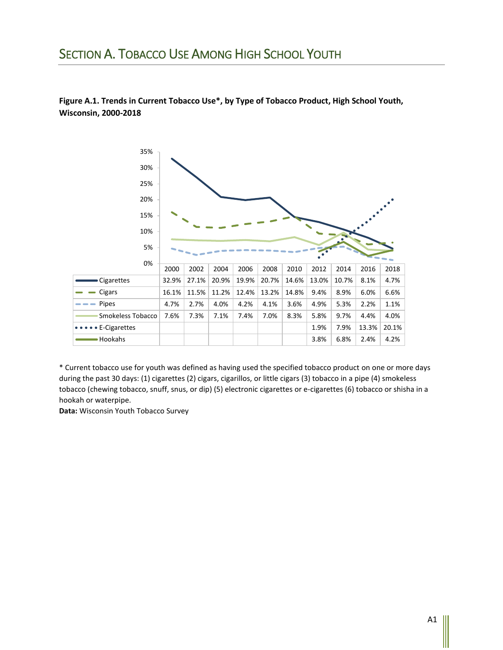### SECTION A. TOBACCO USE AMONG HIGH SCHOOL YOUTH



**Figure A.1. Trends in Current Tobacco Use\*, by Type of Tobacco Product, High School Youth, Wisconsin, 2000-2018**

\* Current tobacco use for youth was defined as having used the specified tobacco product on one or more days during the past 30 days: (1) cigarettes (2) cigars, cigarillos, or little cigars (3) tobacco in a pipe (4) smokeless tobacco (chewing tobacco, snuff, snus, or dip) (5) electronic cigarettes or e-cigarettes (6) tobacco or shisha in a hookah or waterpipe.

**Data:** Wisconsin Youth Tobacco Survey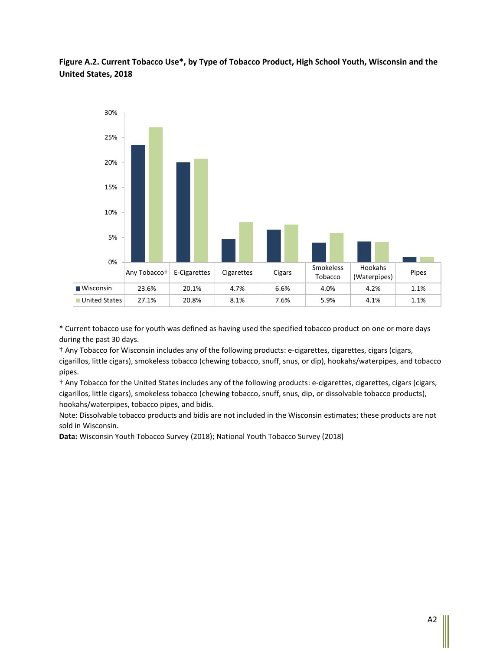**Figure A.2. Current Tobacco Use\*, by Type of Tobacco Product, High School Youth, Wisconsin and the United States, 2018**



\* Current tobacco use for youth was defined as having used the specified tobacco product on one or more days during the past 30 days.

† Any Tobacco for Wisconsin includes any of the following products: e-cigarettes, cigarettes, cigars (cigars, cigarillos, little cigars), smokeless tobacco (chewing tobacco, snuff, snus, or dip), hookahs/waterpipes, and tobacco pipes.

† Any Tobacco for the United States includes any of the following products: e-cigarettes, cigarettes, cigars (cigars, cigarillos, little cigars), smokeless tobacco (chewing tobacco, snuff, snus, dip, or dissolvable tobacco products), hookahs/waterpipes, tobacco pipes, and bidis.

Note: Dissolvable tobacco products and bidis are not included in the Wisconsin estimates; these products are not sold in Wisconsin.

**Data:** Wisconsin Youth Tobacco Survey (2018); National Youth Tobacco Survey (2018)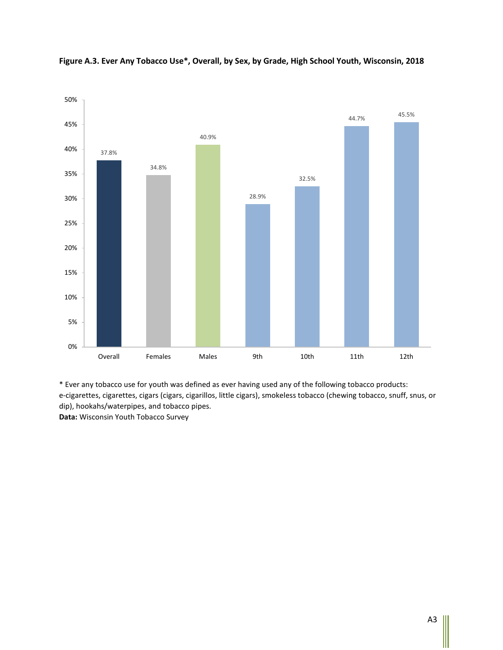

**Figure A.3. Ever Any Tobacco Use\*, Overall, by Sex, by Grade, High School Youth, Wisconsin, 2018**

\* Ever any tobacco use for youth was defined as ever having used any of the following tobacco products: e-cigarettes, cigarettes, cigars (cigars, cigarillos, little cigars), smokeless tobacco (chewing tobacco, snuff, snus, or dip), hookahs/waterpipes, and tobacco pipes. **Data:** Wisconsin Youth Tobacco Survey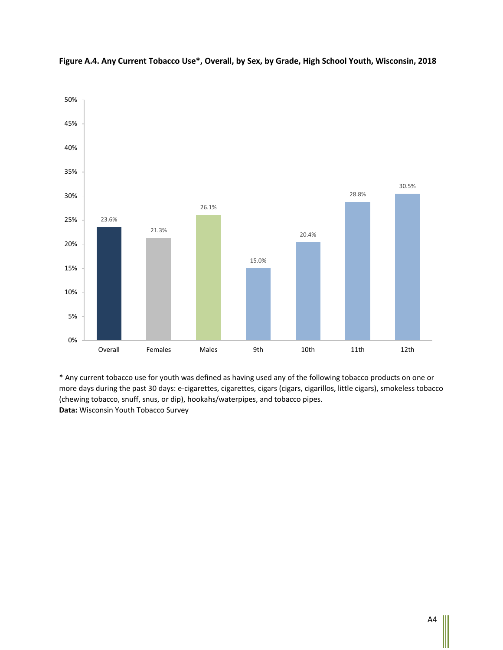

**Figure A.4. Any Current Tobacco Use\*, Overall, by Sex, by Grade, High School Youth, Wisconsin, 2018**

\* Any current tobacco use for youth was defined as having used any of the following tobacco products on one or more days during the past 30 days: e-cigarettes, cigarettes, cigars (cigars, cigarillos, little cigars), smokeless tobacco (chewing tobacco, snuff, snus, or dip), hookahs/waterpipes, and tobacco pipes. **Data:** Wisconsin Youth Tobacco Survey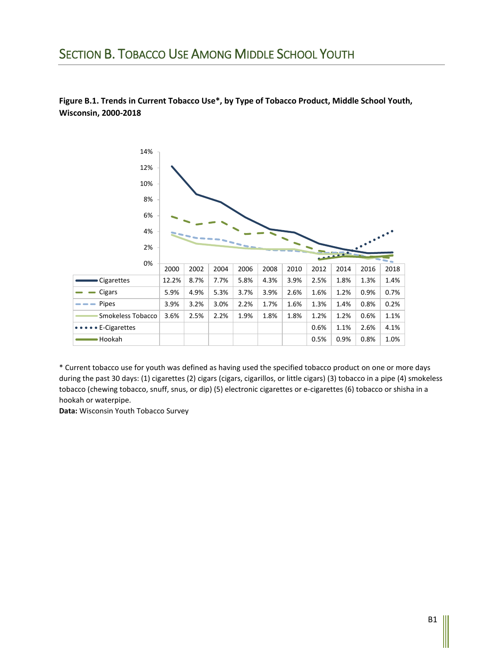## SECTION B. TOBACCO USE AMONG MIDDLE SCHOOL YOUTH

#### **Figure B.1. Trends in Current Tobacco Use\*, by Type of Tobacco Product, Middle School Youth, Wisconsin, 2000-2018**



\* Current tobacco use for youth was defined as having used the specified tobacco product on one or more days during the past 30 days: (1) cigarettes (2) cigars (cigars, cigarillos, or little cigars) (3) tobacco in a pipe (4) smokeless tobacco (chewing tobacco, snuff, snus, or dip) (5) electronic cigarettes or e-cigarettes (6) tobacco or shisha in a hookah or waterpipe.

**Data:** Wisconsin Youth Tobacco Survey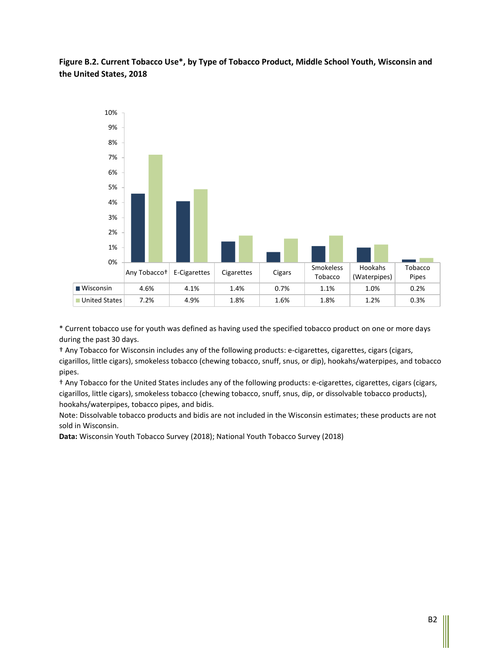**Figure B.2. Current Tobacco Use\*, by Type of Tobacco Product, Middle School Youth, Wisconsin and the United States, 2018**



\* Current tobacco use for youth was defined as having used the specified tobacco product on one or more days during the past 30 days.

† Any Tobacco for Wisconsin includes any of the following products: e-cigarettes, cigarettes, cigars (cigars, cigarillos, little cigars), smokeless tobacco (chewing tobacco, snuff, snus, or dip), hookahs/waterpipes, and tobacco pipes.

† Any Tobacco for the United States includes any of the following products: e-cigarettes, cigarettes, cigars (cigars, cigarillos, little cigars), smokeless tobacco (chewing tobacco, snuff, snus, dip, or dissolvable tobacco products), hookahs/waterpipes, tobacco pipes, and bidis.

Note: Dissolvable tobacco products and bidis are not included in the Wisconsin estimates; these products are not sold in Wisconsin.

**Data:** Wisconsin Youth Tobacco Survey (2018); National Youth Tobacco Survey (2018)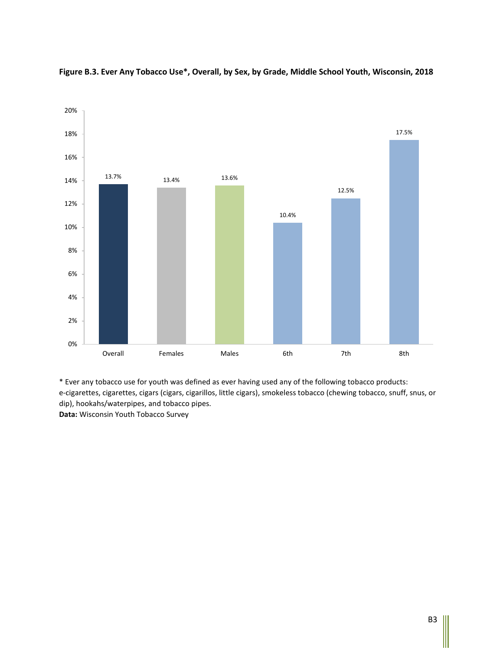

**Figure B.3. Ever Any Tobacco Use\*, Overall, by Sex, by Grade, Middle School Youth, Wisconsin, 2018**

\* Ever any tobacco use for youth was defined as ever having used any of the following tobacco products: e-cigarettes, cigarettes, cigars (cigars, cigarillos, little cigars), smokeless tobacco (chewing tobacco, snuff, snus, or dip), hookahs/waterpipes, and tobacco pipes. **Data:** Wisconsin Youth Tobacco Survey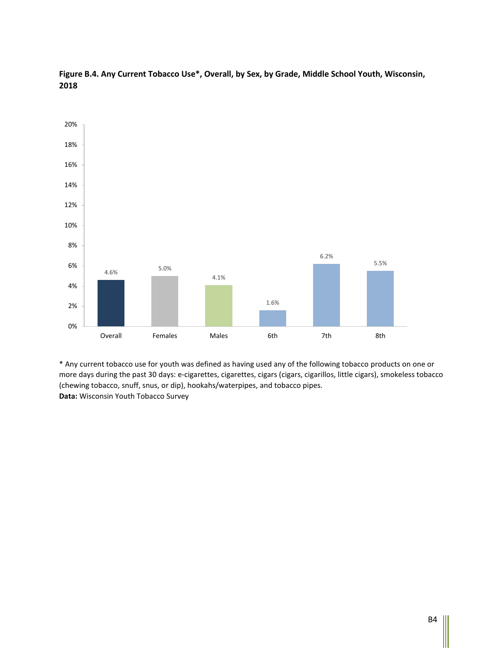



\* Any current tobacco use for youth was defined as having used any of the following tobacco products on one or more days during the past 30 days: e-cigarettes, cigarettes, cigars (cigars, cigarillos, little cigars), smokeless tobacco (chewing tobacco, snuff, snus, or dip), hookahs/waterpipes, and tobacco pipes. **Data:** Wisconsin Youth Tobacco Survey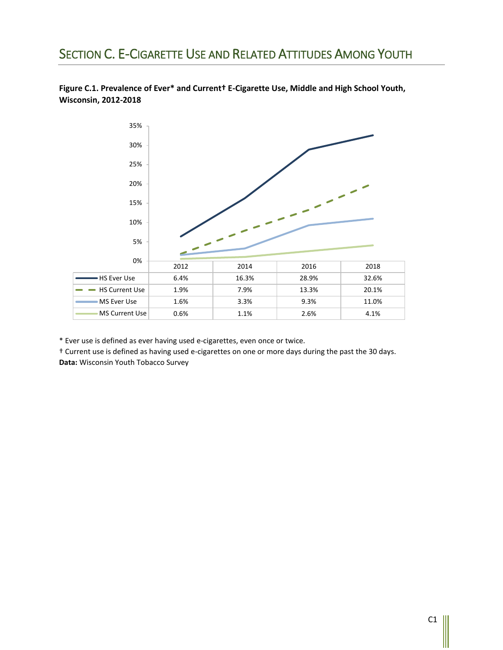# SECTION C. E-CIGARETTE USE AND RELATED ATTITUDES AMONG YOUTH





\* Ever use is defined as ever having used e-cigarettes, even once or twice.

† Current use is defined as having used e-cigarettes on one or more days during the past the 30 days. **Data:** Wisconsin Youth Tobacco Survey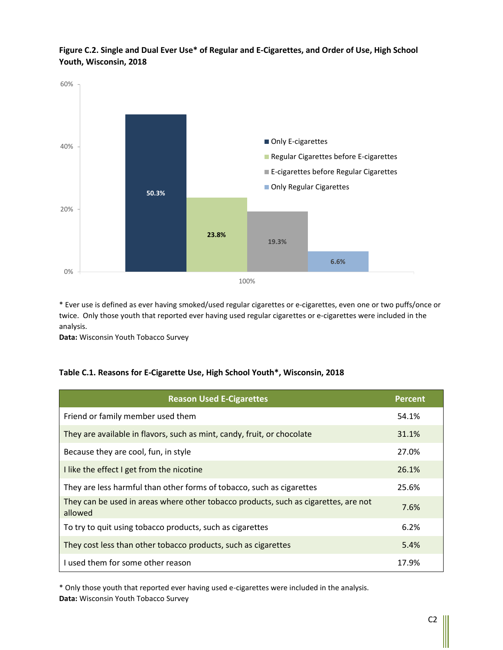**Figure C.2. Single and Dual Ever Use\* of Regular and E-Cigarettes, and Order of Use, High School Youth, Wisconsin, 2018**



\* Ever use is defined as ever having smoked/used regular cigarettes or e-cigarettes, even one or two puffs/once or twice. Only those youth that reported ever having used regular cigarettes or e-cigarettes were included in the analysis.

**Data:** Wisconsin Youth Tobacco Survey

#### **Table C.1. Reasons for E-Cigarette Use, High School Youth\*, Wisconsin, 2018**

| <b>Reason Used E-Cigarettes</b>                                                                | <b>Percent</b> |
|------------------------------------------------------------------------------------------------|----------------|
| Friend or family member used them                                                              | 54.1%          |
| They are available in flavors, such as mint, candy, fruit, or chocolate                        | 31.1%          |
| Because they are cool, fun, in style                                                           | 27.0%          |
| I like the effect I get from the nicotine                                                      | 26.1%          |
| They are less harmful than other forms of tobacco, such as cigarettes                          | 25.6%          |
| They can be used in areas where other tobacco products, such as cigarettes, are not<br>allowed | 7.6%           |
| To try to quit using tobacco products, such as cigarettes                                      | 6.2%           |
| They cost less than other tobacco products, such as cigarettes                                 | 5.4%           |
| Lused them for some other reason                                                               | 17.9%          |

\* Only those youth that reported ever having used e-cigarettes were included in the analysis. **Data:** Wisconsin Youth Tobacco Survey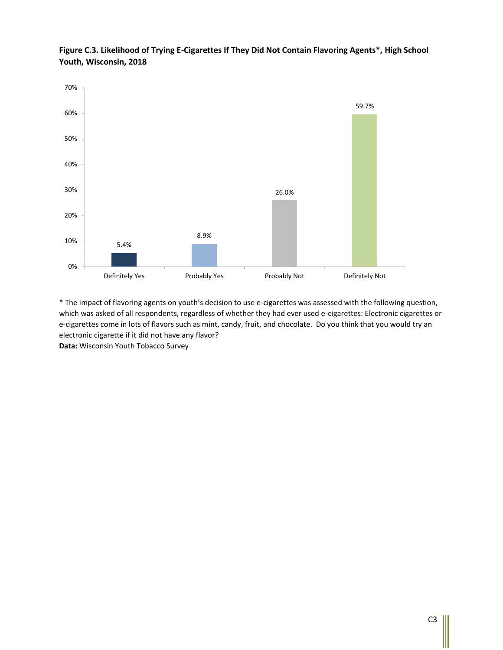

**Figure C.3. Likelihood of Trying E-Cigarettes If They Did Not Contain Flavoring Agents\*, High School Youth, Wisconsin, 2018**

\* The impact of flavoring agents on youth's decision to use e-cigarettes was assessed with the following question, which was asked of all respondents, regardless of whether they had ever used e-cigarettes: Electronic cigarettes or e-cigarettes come in lots of flavors such as mint, candy, fruit, and chocolate. Do you think that you would try an electronic cigarette if it did not have any flavor? **Data:** Wisconsin Youth Tobacco Survey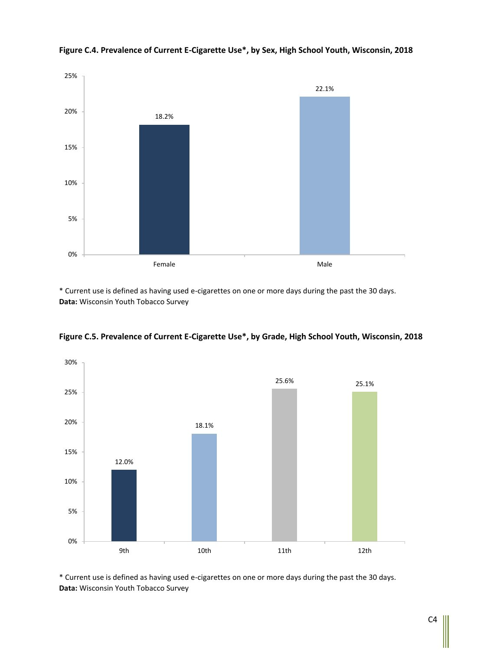

**Figure C.4. Prevalence of Current E-Cigarette Use\*, by Sex, High School Youth, Wisconsin, 2018**

\* Current use is defined as having used e-cigarettes on one or more days during the past the 30 days. **Data:** Wisconsin Youth Tobacco Survey



**Figure C.5. Prevalence of Current E-Cigarette Use\*, by Grade, High School Youth, Wisconsin, 2018**

\* Current use is defined as having used e-cigarettes on one or more days during the past the 30 days. **Data:** Wisconsin Youth Tobacco Survey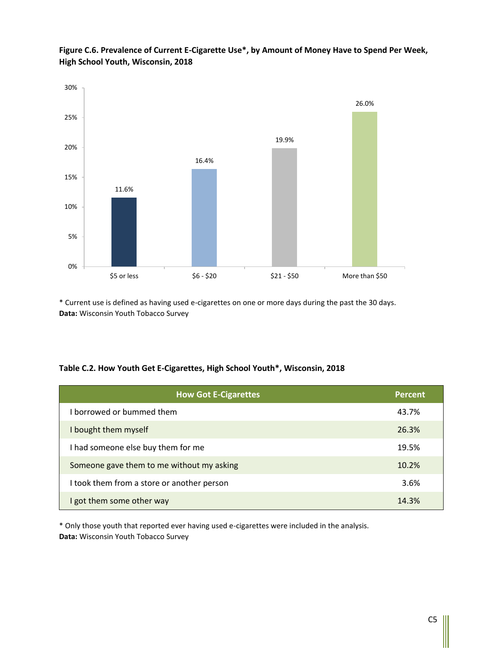

**Figure C.6. Prevalence of Current E-Cigarette Use\*, by Amount of Money Have to Spend Per Week, High School Youth, Wisconsin, 2018**

\* Current use is defined as having used e-cigarettes on one or more days during the past the 30 days. **Data:** Wisconsin Youth Tobacco Survey

| Table C.2. How Youth Get E-Cigarettes, High School Youth*, Wisconsin, 2018 |  |
|----------------------------------------------------------------------------|--|
|----------------------------------------------------------------------------|--|

| <b>How Got E-Cigarettes</b>                | Percent |
|--------------------------------------------|---------|
| borrowed or bummed them                    | 43.7%   |
| I bought them myself                       | 26.3%   |
| I had someone else buy them for me         | 19.5%   |
| Someone gave them to me without my asking  | 10.2%   |
| I took them from a store or another person | 3.6%    |
| I got them some other way                  | 14.3%   |

\* Only those youth that reported ever having used e-cigarettes were included in the analysis. **Data:** Wisconsin Youth Tobacco Survey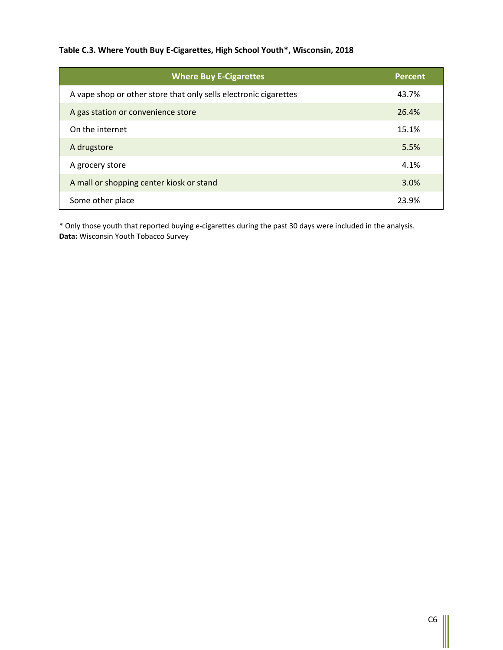#### **Table C.3. Where Youth Buy E-Cigarettes, High School Youth\*, Wisconsin, 2018**

| <b>Where Buy E-Cigarettes</b>                                    | <b>Percent</b> |
|------------------------------------------------------------------|----------------|
| A vape shop or other store that only sells electronic cigarettes | 43.7%          |
| A gas station or convenience store                               | 26.4%          |
| On the internet                                                  | 15.1%          |
| A drugstore                                                      | 5.5%           |
| A grocery store                                                  | 4.1%           |
| A mall or shopping center kiosk or stand                         | 3.0%           |
| Some other place                                                 | 23.9%          |

\* Only those youth that reported buying e-cigarettes during the past 30 days were included in the analysis. **Data:** Wisconsin Youth Tobacco Survey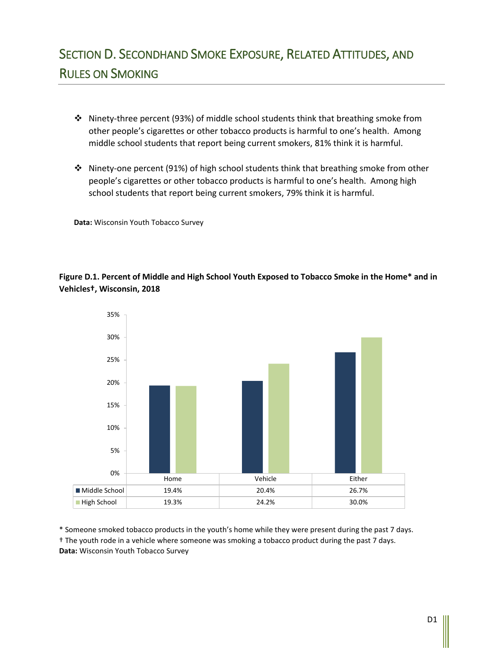- ❖ Ninety-three percent (93%) of middle school students think that breathing smoke from other people's cigarettes or other tobacco products is harmful to one's health. Among middle school students that report being current smokers, 81% think it is harmful.
- ❖ Ninety-one percent (91%) of high school students think that breathing smoke from other people's cigarettes or other tobacco products is harmful to one's health. Among high school students that report being current smokers, 79% think it is harmful.

**Data:** Wisconsin Youth Tobacco Survey

#### **Figure D.1. Percent of Middle and High School Youth Exposed to Tobacco Smoke in the Home\* and in Vehicles†, Wisconsin, 2018**



\* Someone smoked tobacco products in the youth's home while they were present during the past 7 days. † The youth rode in a vehicle where someone was smoking a tobacco product during the past 7 days. **Data:** Wisconsin Youth Tobacco Survey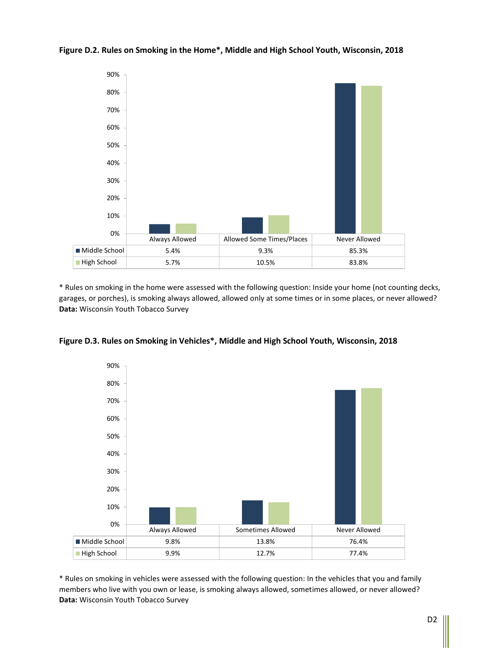

**Figure D.2. Rules on Smoking in the Home\*, Middle and High School Youth, Wisconsin, 2018**

\* Rules on smoking in the home were assessed with the following question: Inside your home (not counting decks, garages, or porches), is smoking always allowed, allowed only at some times or in some places, or never allowed? **Data:** Wisconsin Youth Tobacco Survey



**Figure D.3. Rules on Smoking in Vehicles\*, Middle and High School Youth, Wisconsin, 2018**

\* Rules on smoking in vehicles were assessed with the following question: In the vehicles that you and family members who live with you own or lease, is smoking always allowed, sometimes allowed, or never allowed? **Data:** Wisconsin Youth Tobacco Survey